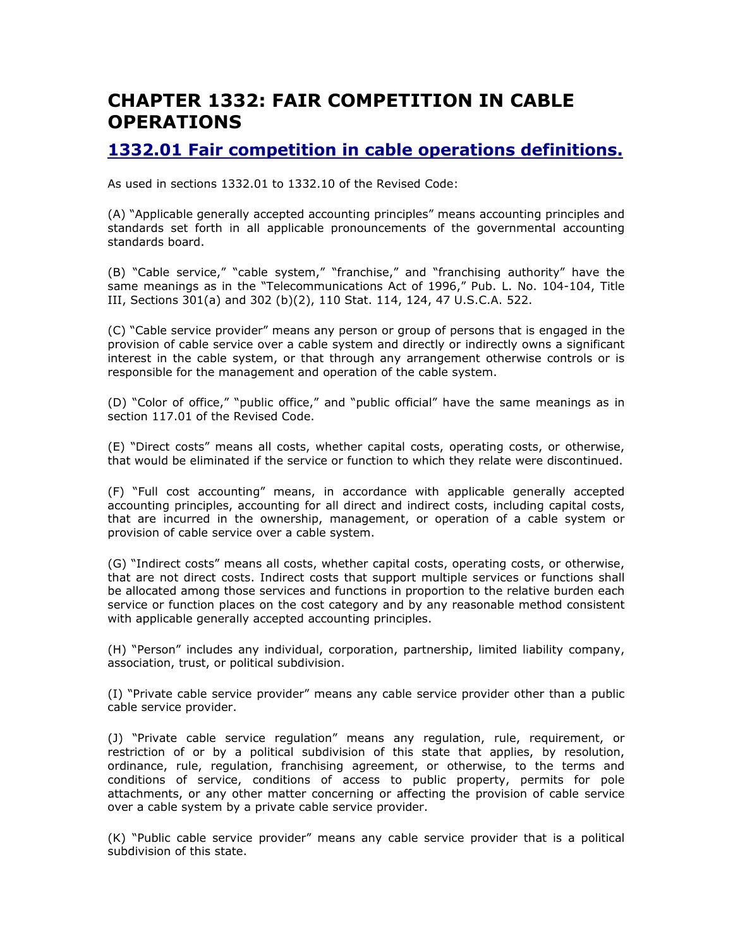# CHAPTER 1332: FAIR COMPETITION IN CABLE OPERATIONS

# 1332.01 Fair competition in cable operations definitions.

As used in sections 1332.01 to 1332.10 of the Revised Code:

(A) "Applicable generally accepted accounting principles" means accounting principles and standards set forth in all applicable pronouncements of the governmental accounting standards board.

(B) "Cable service," "cable system," "franchise," and "franchising authority" have the same meanings as in the "Telecommunications Act of 1996," Pub. L. No. 104-104, Title III, Sections 301(a) and 302 (b)(2), 110 Stat. 114, 124, 47 U.S.C.A. 522.

(C) "Cable service provider" means any person or group of persons that is engaged in the provision of cable service over a cable system and directly or indirectly owns a significant interest in the cable system, or that through any arrangement otherwise controls or is responsible for the management and operation of the cable system.

(D) "Color of office," "public office," and "public official" have the same meanings as in section 117.01 of the Revised Code.

(E) "Direct costs" means all costs, whether capital costs, operating costs, or otherwise, that would be eliminated if the service or function to which they relate were discontinued.

(F) "Full cost accounting" means, in accordance with applicable generally accepted accounting principles, accounting for all direct and indirect costs, including capital costs, that are incurred in the ownership, management, or operation of a cable system or provision of cable service over a cable system.

(G) "Indirect costs" means all costs, whether capital costs, operating costs, or otherwise, that are not direct costs. Indirect costs that support multiple services or functions shall be allocated among those services and functions in proportion to the relative burden each service or function places on the cost category and by any reasonable method consistent with applicable generally accepted accounting principles.

(H) "Person" includes any individual, corporation, partnership, limited liability company, association, trust, or political subdivision.

(I) "Private cable service provider" means any cable service provider other than a public cable service provider.

(J) "Private cable service regulation" means any regulation, rule, requirement, or restriction of or by a political subdivision of this state that applies, by resolution, ordinance, rule, regulation, franchising agreement, or otherwise, to the terms and conditions of service, conditions of access to public property, permits for pole attachments, or any other matter concerning or affecting the provision of cable service over a cable system by a private cable service provider.

(K) "Public cable service provider" means any cable service provider that is a political subdivision of this state.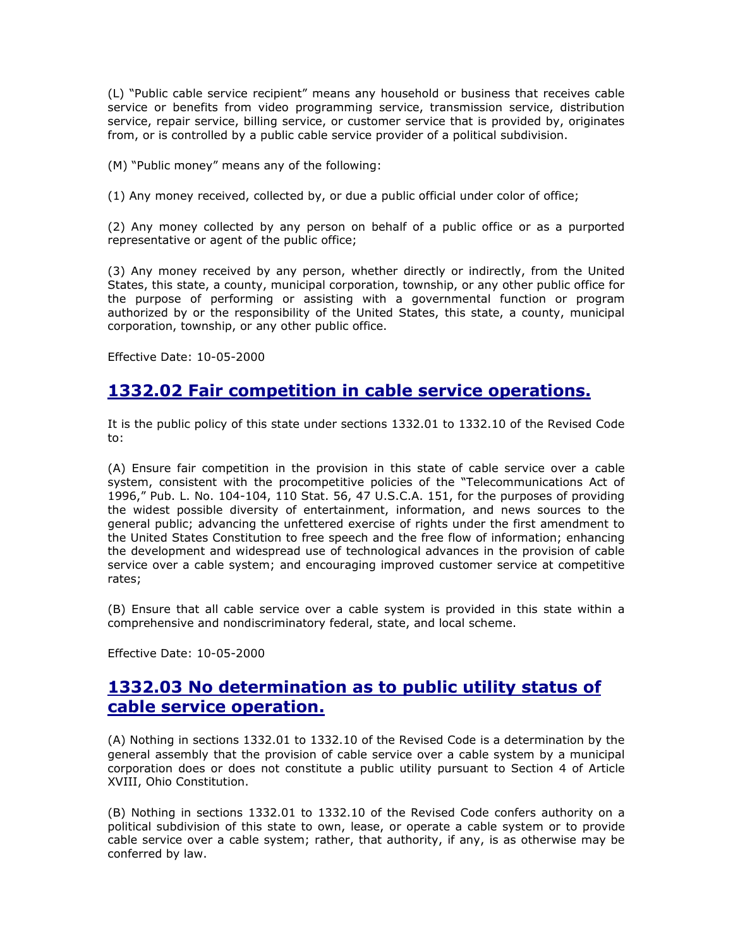(L) "Public cable service recipient" means any household or business that receives cable service or benefits from video programming service, transmission service, distribution service, repair service, billing service, or customer service that is provided by, originates from, or is controlled by a public cable service provider of a political subdivision.

(M) "Public money" means any of the following:

(1) Any money received, collected by, or due a public official under color of office;

(2) Any money collected by any person on behalf of a public office or as a purported representative or agent of the public office;

(3) Any money received by any person, whether directly or indirectly, from the United States, this state, a county, municipal corporation, township, or any other public office for the purpose of performing or assisting with a governmental function or program authorized by or the responsibility of the United States, this state, a county, municipal corporation, township, or any other public office.

Effective Date: 10-05-2000

#### 1332.02 Fair competition in cable service operations.

It is the public policy of this state under sections 1332.01 to 1332.10 of the Revised Code to:

(A) Ensure fair competition in the provision in this state of cable service over a cable system, consistent with the procompetitive policies of the "Telecommunications Act of 1996," Pub. L. No. 104-104, 110 Stat. 56, 47 U.S.C.A. 151, for the purposes of providing the widest possible diversity of entertainment, information, and news sources to the general public; advancing the unfettered exercise of rights under the first amendment to the United States Constitution to free speech and the free flow of information; enhancing the development and widespread use of technological advances in the provision of cable service over a cable system; and encouraging improved customer service at competitive rates;

(B) Ensure that all cable service over a cable system is provided in this state within a comprehensive and nondiscriminatory federal, state, and local scheme.

Effective Date: 10-05-2000

# 1332.03 No determination as to public utility status of cable service operation.

(A) Nothing in sections 1332.01 to 1332.10 of the Revised Code is a determination by the general assembly that the provision of cable service over a cable system by a municipal corporation does or does not constitute a public utility pursuant to Section 4 of Article XVIII, Ohio Constitution.

(B) Nothing in sections 1332.01 to 1332.10 of the Revised Code confers authority on a political subdivision of this state to own, lease, or operate a cable system or to provide cable service over a cable system; rather, that authority, if any, is as otherwise may be conferred by law.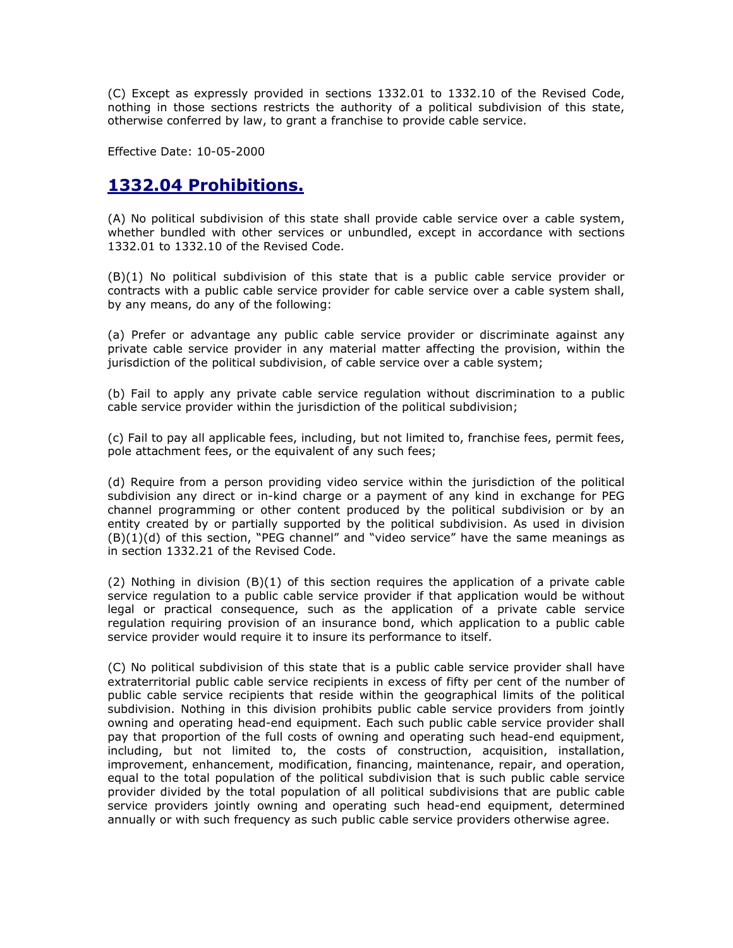(C) Except as expressly provided in sections 1332.01 to 1332.10 of the Revised Code, nothing in those sections restricts the authority of a political subdivision of this state, otherwise conferred by law, to grant a franchise to provide cable service.

Effective Date: 10-05-2000

# 1332.04 Prohibitions.

(A) No political subdivision of this state shall provide cable service over a cable system, whether bundled with other services or unbundled, except in accordance with sections 1332.01 to 1332.10 of the Revised Code.

(B)(1) No political subdivision of this state that is a public cable service provider or contracts with a public cable service provider for cable service over a cable system shall, by any means, do any of the following:

(a) Prefer or advantage any public cable service provider or discriminate against any private cable service provider in any material matter affecting the provision, within the jurisdiction of the political subdivision, of cable service over a cable system;

(b) Fail to apply any private cable service regulation without discrimination to a public cable service provider within the jurisdiction of the political subdivision;

(c) Fail to pay all applicable fees, including, but not limited to, franchise fees, permit fees, pole attachment fees, or the equivalent of any such fees;

(d) Require from a person providing video service within the jurisdiction of the political subdivision any direct or in-kind charge or a payment of any kind in exchange for PEG channel programming or other content produced by the political subdivision or by an entity created by or partially supported by the political subdivision. As used in division  $(B)(1)(d)$  of this section, "PEG channel" and "video service" have the same meanings as in section 1332.21 of the Revised Code.

(2) Nothing in division  $(B)(1)$  of this section requires the application of a private cable service regulation to a public cable service provider if that application would be without legal or practical consequence, such as the application of a private cable service regulation requiring provision of an insurance bond, which application to a public cable service provider would require it to insure its performance to itself.

(C) No political subdivision of this state that is a public cable service provider shall have extraterritorial public cable service recipients in excess of fifty per cent of the number of public cable service recipients that reside within the geographical limits of the political subdivision. Nothing in this division prohibits public cable service providers from jointly owning and operating head-end equipment. Each such public cable service provider shall pay that proportion of the full costs of owning and operating such head-end equipment, including, but not limited to, the costs of construction, acquisition, installation, improvement, enhancement, modification, financing, maintenance, repair, and operation, equal to the total population of the political subdivision that is such public cable service provider divided by the total population of all political subdivisions that are public cable service providers jointly owning and operating such head-end equipment, determined annually or with such frequency as such public cable service providers otherwise agree.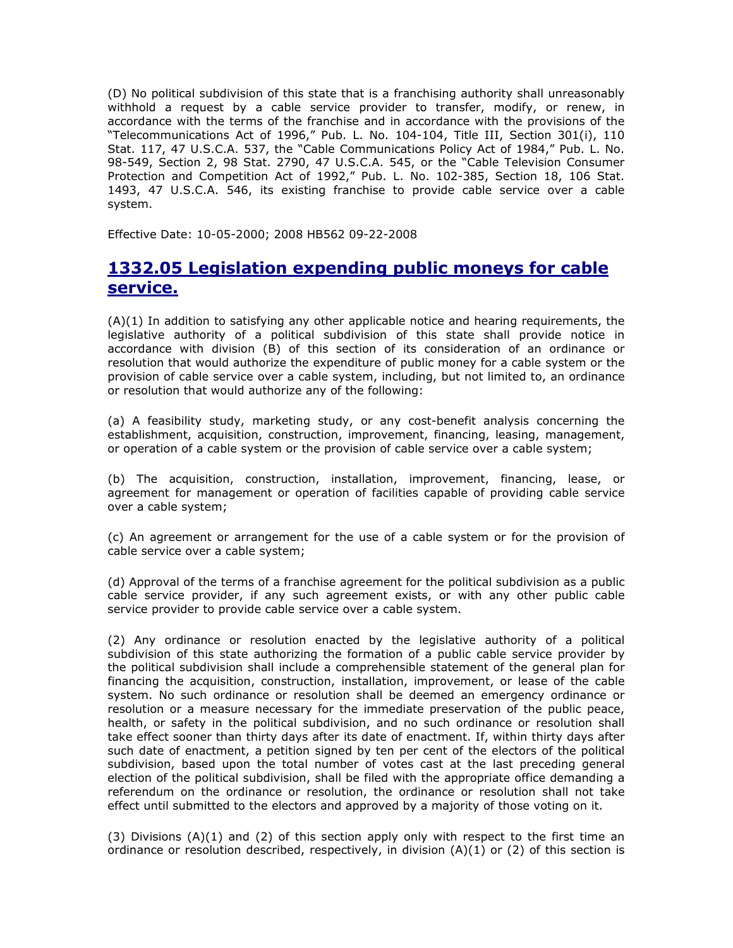(D) No political subdivision of this state that is a franchising authority shall unreasonably withhold a request by a cable service provider to transfer, modify, or renew, in accordance with the terms of the franchise and in accordance with the provisions of the "Telecommunications Act of 1996," Pub. L. No. 104-104, Title III, Section 301(i), 110 Stat. 117, 47 U.S.C.A. 537, the "Cable Communications Policy Act of 1984," Pub. L. No. 98-549, Section 2, 98 Stat. 2790, 47 U.S.C.A. 545, or the "Cable Television Consumer Protection and Competition Act of 1992," Pub. L. No. 102-385, Section 18, 106 Stat. 1493, 47 U.S.C.A. 546, its existing franchise to provide cable service over a cable system.

Effective Date: 10-05-2000; 2008 HB562 09-22-2008

# 1332.05 Legislation expending public moneys for cable service.

(A)(1) In addition to satisfying any other applicable notice and hearing requirements, the legislative authority of a political subdivision of this state shall provide notice in accordance with division (B) of this section of its consideration of an ordinance or resolution that would authorize the expenditure of public money for a cable system or the provision of cable service over a cable system, including, but not limited to, an ordinance or resolution that would authorize any of the following:

(a) A feasibility study, marketing study, or any cost-benefit analysis concerning the establishment, acquisition, construction, improvement, financing, leasing, management, or operation of a cable system or the provision of cable service over a cable system;

(b) The acquisition, construction, installation, improvement, financing, lease, or agreement for management or operation of facilities capable of providing cable service over a cable system;

(c) An agreement or arrangement for the use of a cable system or for the provision of cable service over a cable system;

(d) Approval of the terms of a franchise agreement for the political subdivision as a public cable service provider, if any such agreement exists, or with any other public cable service provider to provide cable service over a cable system.

(2) Any ordinance or resolution enacted by the legislative authority of a political subdivision of this state authorizing the formation of a public cable service provider by the political subdivision shall include a comprehensible statement of the general plan for financing the acquisition, construction, installation, improvement, or lease of the cable system. No such ordinance or resolution shall be deemed an emergency ordinance or resolution or a measure necessary for the immediate preservation of the public peace, health, or safety in the political subdivision, and no such ordinance or resolution shall take effect sooner than thirty days after its date of enactment. If, within thirty days after such date of enactment, a petition signed by ten per cent of the electors of the political subdivision, based upon the total number of votes cast at the last preceding general election of the political subdivision, shall be filed with the appropriate office demanding a referendum on the ordinance or resolution, the ordinance or resolution shall not take effect until submitted to the electors and approved by a majority of those voting on it.

(3) Divisions  $(A)(1)$  and (2) of this section apply only with respect to the first time an ordinance or resolution described, respectively, in division  $(A)(1)$  or (2) of this section is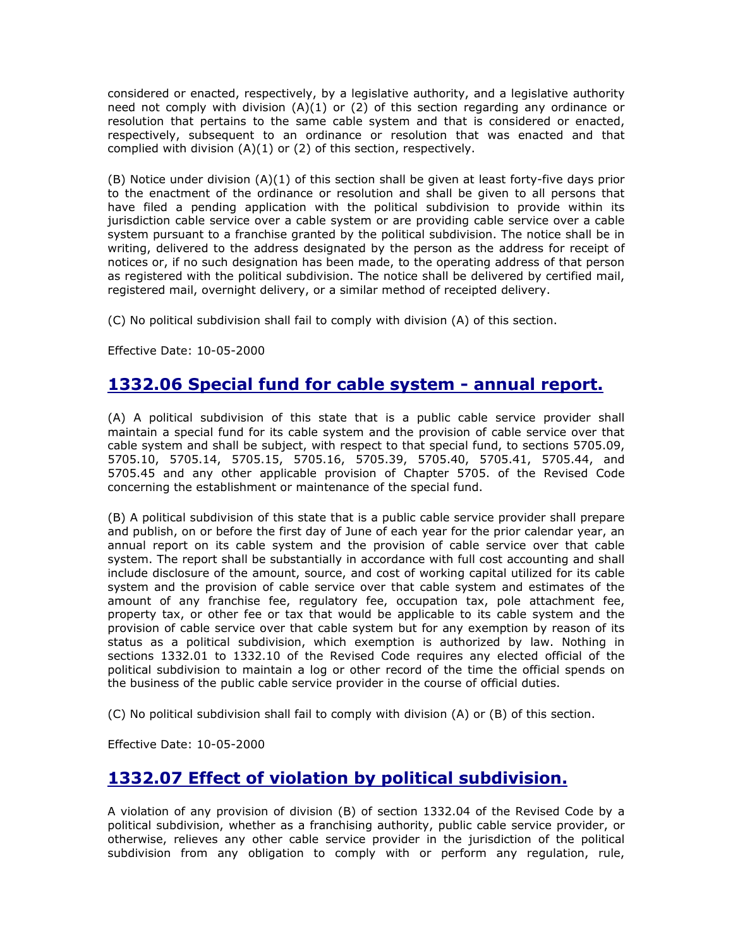considered or enacted, respectively, by a legislative authority, and a legislative authority need not comply with division (A)(1) or (2) of this section regarding any ordinance or resolution that pertains to the same cable system and that is considered or enacted, respectively, subsequent to an ordinance or resolution that was enacted and that complied with division  $(A)(1)$  or  $(2)$  of this section, respectively.

(B) Notice under division (A)(1) of this section shall be given at least forty-five days prior to the enactment of the ordinance or resolution and shall be given to all persons that have filed a pending application with the political subdivision to provide within its jurisdiction cable service over a cable system or are providing cable service over a cable system pursuant to a franchise granted by the political subdivision. The notice shall be in writing, delivered to the address designated by the person as the address for receipt of notices or, if no such designation has been made, to the operating address of that person as registered with the political subdivision. The notice shall be delivered by certified mail, registered mail, overnight delivery, or a similar method of receipted delivery.

(C) No political subdivision shall fail to comply with division (A) of this section.

Effective Date: 10-05-2000

#### 1332.06 Special fund for cable system - annual report.

(A) A political subdivision of this state that is a public cable service provider shall maintain a special fund for its cable system and the provision of cable service over that cable system and shall be subject, with respect to that special fund, to sections 5705.09, 5705.10, 5705.14, 5705.15, 5705.16, 5705.39, 5705.40, 5705.41, 5705.44, and 5705.45 and any other applicable provision of Chapter 5705. of the Revised Code concerning the establishment or maintenance of the special fund.

(B) A political subdivision of this state that is a public cable service provider shall prepare and publish, on or before the first day of June of each year for the prior calendar year, an annual report on its cable system and the provision of cable service over that cable system. The report shall be substantially in accordance with full cost accounting and shall include disclosure of the amount, source, and cost of working capital utilized for its cable system and the provision of cable service over that cable system and estimates of the amount of any franchise fee, regulatory fee, occupation tax, pole attachment fee, property tax, or other fee or tax that would be applicable to its cable system and the provision of cable service over that cable system but for any exemption by reason of its status as a political subdivision, which exemption is authorized by law. Nothing in sections 1332.01 to 1332.10 of the Revised Code requires any elected official of the political subdivision to maintain a log or other record of the time the official spends on the business of the public cable service provider in the course of official duties.

(C) No political subdivision shall fail to comply with division (A) or (B) of this section.

Effective Date: 10-05-2000

# 1332.07 Effect of violation by political subdivision.

A violation of any provision of division (B) of section 1332.04 of the Revised Code by a political subdivision, whether as a franchising authority, public cable service provider, or otherwise, relieves any other cable service provider in the jurisdiction of the political subdivision from any obligation to comply with or perform any regulation, rule,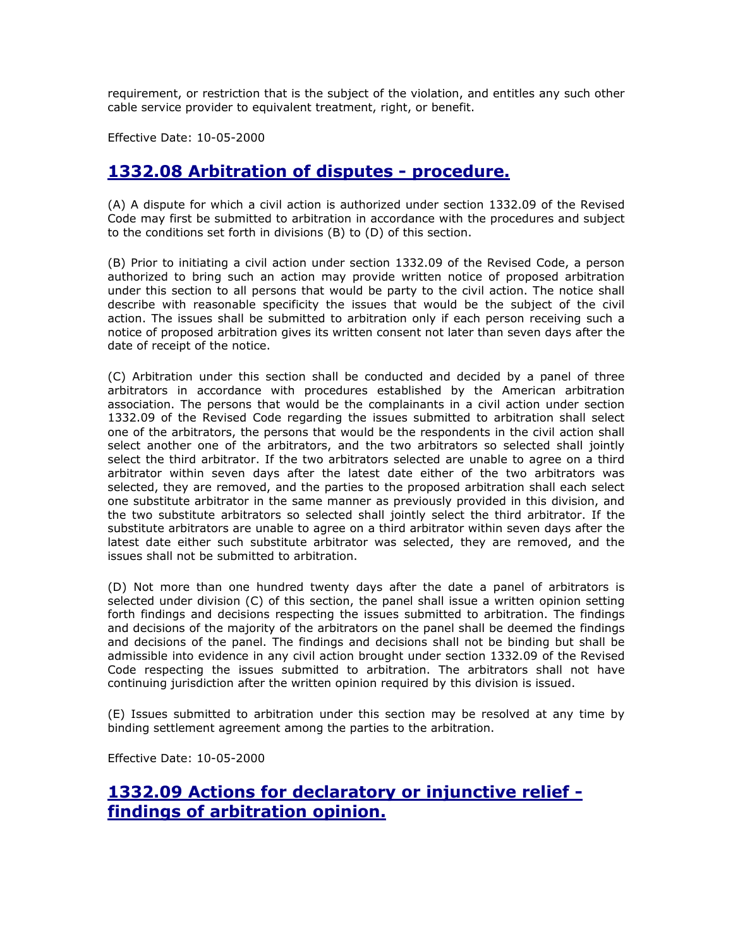requirement, or restriction that is the subject of the violation, and entitles any such other cable service provider to equivalent treatment, right, or benefit.

Effective Date: 10-05-2000

#### 1332.08 Arbitration of disputes - procedure.

(A) A dispute for which a civil action is authorized under section 1332.09 of the Revised Code may first be submitted to arbitration in accordance with the procedures and subject to the conditions set forth in divisions (B) to (D) of this section.

(B) Prior to initiating a civil action under section 1332.09 of the Revised Code, a person authorized to bring such an action may provide written notice of proposed arbitration under this section to all persons that would be party to the civil action. The notice shall describe with reasonable specificity the issues that would be the subject of the civil action. The issues shall be submitted to arbitration only if each person receiving such a notice of proposed arbitration gives its written consent not later than seven days after the date of receipt of the notice.

(C) Arbitration under this section shall be conducted and decided by a panel of three arbitrators in accordance with procedures established by the American arbitration association. The persons that would be the complainants in a civil action under section 1332.09 of the Revised Code regarding the issues submitted to arbitration shall select one of the arbitrators, the persons that would be the respondents in the civil action shall select another one of the arbitrators, and the two arbitrators so selected shall jointly select the third arbitrator. If the two arbitrators selected are unable to agree on a third arbitrator within seven days after the latest date either of the two arbitrators was selected, they are removed, and the parties to the proposed arbitration shall each select one substitute arbitrator in the same manner as previously provided in this division, and the two substitute arbitrators so selected shall jointly select the third arbitrator. If the substitute arbitrators are unable to agree on a third arbitrator within seven days after the latest date either such substitute arbitrator was selected, they are removed, and the issues shall not be submitted to arbitration.

(D) Not more than one hundred twenty days after the date a panel of arbitrators is selected under division (C) of this section, the panel shall issue a written opinion setting forth findings and decisions respecting the issues submitted to arbitration. The findings and decisions of the majority of the arbitrators on the panel shall be deemed the findings and decisions of the panel. The findings and decisions shall not be binding but shall be admissible into evidence in any civil action brought under section 1332.09 of the Revised Code respecting the issues submitted to arbitration. The arbitrators shall not have continuing jurisdiction after the written opinion required by this division is issued.

(E) Issues submitted to arbitration under this section may be resolved at any time by binding settlement agreement among the parties to the arbitration.

Effective Date: 10-05-2000

# 1332.09 Actions for declaratory or injunctive relief findings of arbitration opinion.